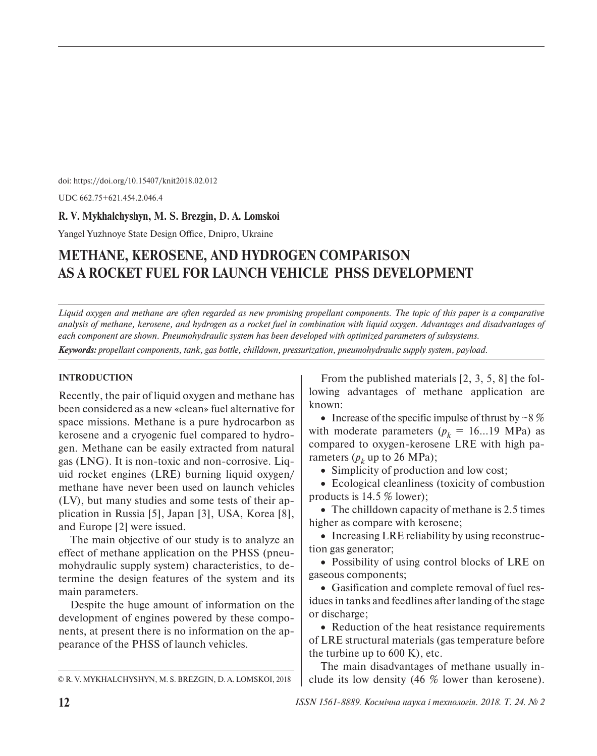doi: https://doi.org/10.15407/knit2018.02.012

UDC 662.75+621.454.2.046.4

# **R. V. Mykhalchyshyn, M. S. Brezgin, D. A. Lomskoi**

Yangel Yuzhnoye State Design Office, Dnipro, Ukraine

# **METHANE, KEROSENE, AND HYDROGEN COMPARISON AS A ROCKET FUEL FOR LAUNCH VEHICLE PHSS DEVELOPMENT**

*Liquid oxygen and methane are often regarded as new promising propellant components. The topic of this paper is a comparative analysis of methane, kerosene, and hydrogen as a rocket fuel in combination with liquid oxygen. Advantages and disadvantages of each component are shown. Pneumohydraulic system has been developed with optimized parameters of subsystems.* 

*Keywords: propellant components, tank, gas bottle, chilldown, pressurization, pneumohydraulic supply system, payload.* 

## **INTRODUCTION**

Recently, the pair of liquid oxygen and methane has been considered as a new «clean» fuel alternative for space missions. Methane is a pure hydrocarbon as kerosene and a cryogenic fuel compared to hydrogen. Methane can be easily extracted from natural gas (LNG). It is non-toxic and non-corrosive. Liquid rocket engines (LRE) burning liquid oxygen/ methane have never been used on launch vehicles (LV), but many studies and some tests of their application in Russia [5], Japan [3], USA, Korea [8], and Europe [2] were issued.

The main objective of our study is to analyze an effect of methane application on the PHSS (pneumohydraulic supply system) characteristics, to determine the design features of the system and its main parameters.

Despite the huge amount of information on the development of engines powered by these components, at present there is no information on the appearance of the PHSS of launch vehicles.

From the published materials [2, 3, 5, 8] the following advantages of methane application are known:

• Increase of the specific impulse of thrust by  $\sim$  8 % with moderate parameters  $(p_k = 16...19 \text{ MPa})$  as compared to oxygen-kerosene LRE with high parameters  $(p_k \text{ up to 26 MPa})$ ;

• Simplicity of production and low cost;

• Ecological cleanliness (toxicity of combustion products is 14.5 % lower);

• The chilldown capacity of methane is 2.5 times higher as compare with kerosene;

• Increasing LRE reliability by using reconstruction gas generator;

• Possibility of using control blocks of LRE on gaseous components;

• Gasification and complete removal of fuel residues in tanks and feedlines after landing of the stage or discharge;

• Reduction of the heat resistance requirements of LRE structural materials (gas temperature before the turbine up to 600 K), etc.

The main disadvantages of methane usually in-  $\circ$  R. V. MYKHALCHYSHYN, M. S. BREZGIN, D. A. LOMSKOI, 2018 clude its low density (46 % lower than kerosene).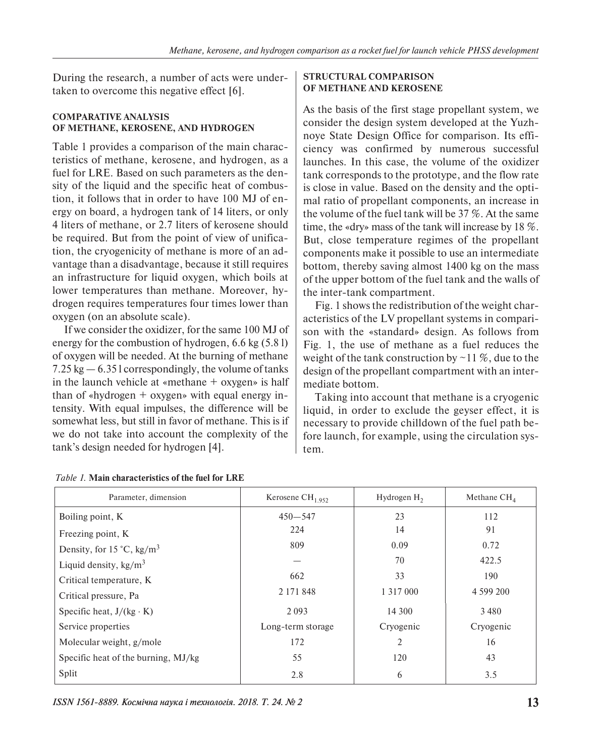During the research, a number of acts were undertaken to overcome this negative effect [6].

# **COMPARATIVE ANALYSIS OF METHANE, KEROSENE, AND HYDROGEN**

Table 1 provides a comparison of the main characteristics of methane, kerosene, and hydrogen, as a fuel for LRE. Based on such parameters as the density of the liquid and the specific heat of combustion, it follows that in order to have 100 MJ of energy on board, a hydrogen tank of 14 liters, or only 4 liters of methane, or 2.7 liters of kerosene should be required. But from the point of view of unification, the cryogenicity of methane is more of an advantage than a disadvantage, because it still requires an infrastructure for liquid oxygen, which boils at lower temperatures than methane. Moreover, hydrogen requires temperatures four times lower than oxygen (on an absolute scale).

If we consider the oxidizer, for the same 100 MJ of energy for the combustion of hydrogen, 6.6 kg (5.8 l) of oxygen will be needed. At the burning of methane 7.25 kg — 6.35 l correspondingly, the volume of tanks in the launch vehicle at «methane + oxygen» is half than of «hydrogen + oxygen» with equal energy intensity. With equal impulses, the difference will be somewhat less, but still in favor of methane. This is if we do not take into account the complexity of the tank's design needed for hydrogen [4].

## **STRUCTURAL COMPARISON OF METHANE AND KEROSENE**

As the basis of the first stage propellant system, we consider the design system developed at the Yuzhnoye State Design Office for comparison. Its efficiency was confirmed by numerous successful launches. In this case, the volume of the oxidizer tank corresponds to the prototype, and the flow rate is close in value. Based on the density and the optimal ratio of propellant components, an increase in the volume of the fuel tank will be 37 %. At the same time, the «dry» mass of the tank will increase by 18 %. But, close temperature regimes of the propellant components make it possible to use an intermediate bottom, thereby saving almost 1400 kg on the mass of the upper bottom of the fuel tank and the walls of the inter-tank compartment.

Fig. 1 shows the redistribution of the weight characteristics of the LV propellant systems in comparison with the «standard» design. As follows from Fig. 1, the use of methane as a fuel reduces the weight of the tank construction by  $\sim$  11 %, due to the design of the propellant compartment with an intermediate bottom.

Taking into account that methane is a cryogenic liquid, in order to exclude the geyser effect, it is necessary to provide chilldown of the fuel path before launch, for example, using the circulation system.

| Parameter, dimension                | Kerosene $CH1.952$ | Hydrogen $H_2$ | Methane $CH4$ |
|-------------------------------------|--------------------|----------------|---------------|
| Boiling point, K                    | $450 - 547$        | 23             | 112           |
| Freezing point, K                   | 224                | 14             | 91            |
| Density, for 15 °C, $\text{kg/m}^3$ | 809                | 0.09           | 0.72          |
| Liquid density, $\text{kg/m}^3$     |                    | 70             | 422.5         |
| Critical temperature, K             | 662                | 33             | 190           |
| Critical pressure, Pa               | 2 171 848          | 1 3 1 7 0 0 0  | 4 599 200     |
| Specific heat, $J/(kg \cdot K)$     | 2 0 9 3            | 14 300         | 3480          |
| Service properties                  | Long-term storage  | Cryogenic      | Cryogenic     |
| Molecular weight, g/mole            | 172                | 2              | 16            |
| Specific heat of the burning, MJ/kg | 55                 | 120            | 43            |
| Split                               | 2.8                | 6              | 3.5           |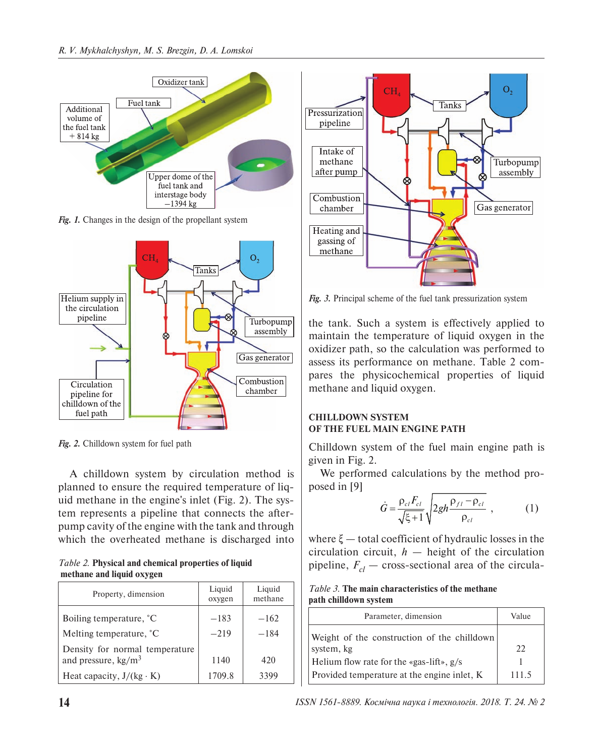

*Fig. 1.* Changes in the design of the propellant system



*Fig. 2.* Chilldown system for fuel path

A chilldown system by circulation method is planned to ensure the required temperature of liquid methane in the engine's inlet (Fig. 2). The system represents a pipeline that connects the afterpump cavity of the engine with the tank and through which the overheated methane is discharged into

*Table 2.* **Physical and chemical properties of liquid methane and liquid oxygen**

| Property, dimension             | Liquid<br>oxygen | Liquid<br>methane |
|---------------------------------|------------------|-------------------|
| Boiling temperature, °C         | $-183$           | $-162$            |
| Melting temperature, °C         | $-219$           | $-184$            |
| Density for normal temperature  |                  |                   |
| and pressure, $\text{kg/m}^3$   | 1140             | 420               |
| Heat capacity, $J/(kg \cdot K)$ | 1709.8           | 3399              |



*Fig. 3.* Principal scheme of the fuel tank pressurization system

the tank. Such a system is effectively applied to maintain the temperature of liquid oxygen in the oxidizer path, so the calculation was performed to assess its performance on methane. Table 2 compares the physicochemical properties of liquid methane and liquid oxygen.

# **CHILLDOWN SYSTEM OF THE FUEL MAIN ENGINE PATH**

Chilldown system of the fuel main engine path is given in Fig. 2.

We performed calculations by the method proposed in [9]

$$
\dot{G} = \frac{\rho_{cl} F_{cl}}{\sqrt{\xi + 1}} \sqrt{2gh \frac{\rho_{fl} - \rho_{cl}}{\rho_{cl}}}, \qquad (1)
$$

where  $\xi$  — total coefficient of hydraulic losses in the circulation circuit,  $h$  — height of the circulation pipeline,  $F_{cl}$  — cross-sectional area of the circula-

#### *Table 3.* **The main characteristics of the methane path chilldown system**

| Parameter, dimension                        | Value |
|---------------------------------------------|-------|
| Weight of the construction of the chilldown |       |
| system, kg                                  | 22    |
| Helium flow rate for the «gas-lift», $g/s$  |       |
| Provided temperature at the engine inlet, K | 111.5 |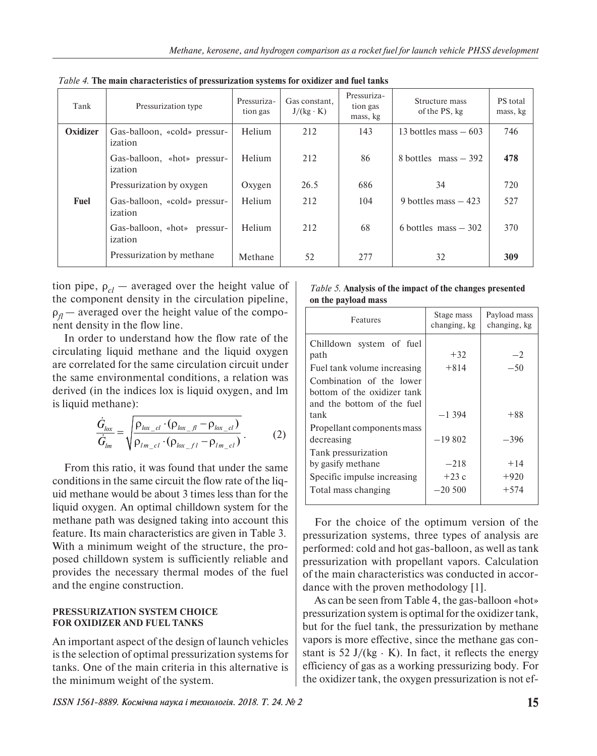| Tank     | Pressurization type                     | Pressuriza-<br>tion gas | Gas constant,<br>$J/(kg \cdot K)$ | Pressuriza-<br>tion gas<br>mass, kg | Structure mass<br>of the PS, kg | PS total<br>mass, kg |
|----------|-----------------------------------------|-------------------------|-----------------------------------|-------------------------------------|---------------------------------|----------------------|
| Oxidizer | Gas-balloon, «cold» pressur-<br>ization | Helium                  | 212                               | 143                                 | 13 bottles mass $-603$          | 746                  |
|          | Gas-balloon, «hot» pressur-<br>ization  | Helium                  | 212                               | 86                                  | 8 bottles $mass - 392$          | 478                  |
|          | Pressurization by oxygen                | Oxygen                  | 26.5                              | 686                                 | 34                              | 720                  |
| Fuel     | Gas-balloon, «cold» pressur-<br>ization | Helium                  | 212                               | 104                                 | 9 bottles mass $-423$           | 527                  |
|          | Gas-balloon, «hot» pressur-<br>ization  | Helium                  | 212                               | 68                                  | 6 bottles mass $-302$           | 370                  |
|          | Pressurization by methane               | Methane                 | 52                                | 277                                 | 32                              | 309                  |

*Table 4.* **The main characteristics of pressurization systems for oxidizer and fuel tanks** 

tion pipe,  $\rho_{cl}$  — averaged over the height value of the component density in the circulation pipeline,  $\rho_{\eta}$  — averaged over the height value of the component density in the flow line.

In order to understand how the flow rate of the circulating liquid methane and the liquid oxygen are correlated for the same circulation circuit under the same environmental conditions, a relation was derived (in the indices lox is liquid oxygen, and lm is liquid methane):

$$
\frac{\dot{G}_{l\alpha x}}{\dot{G}_{lm}} = \sqrt{\frac{\rho_{l\alpha x_{cl}} \cdot (\rho_{l\alpha x_{cl}} - \rho_{l\alpha x_{cl}})}{\rho_{l m_{cl}} \cdot (\rho_{l\alpha x_{cl}} - \rho_{l m_{cl}})}}.
$$
(2)

From this ratio, it was found that under the same conditions in the same circuit the flow rate of the liquid methane would be about 3 times less than for the liquid oxygen. An optimal chilldown system for the methane path was designed taking into account this feature. Its main characteristics are given in Table 3. With a minimum weight of the structure, the proposed chilldown system is sufficiently reliable and provides the necessary thermal modes of the fuel and the engine construction.

## **PRESSURIZATION SYSTEM CHOICE FOR OXIDIZER AND FUEL TANKS**

An important aspect of the design of launch vehicles is the selection of optimal pressurization systems for tanks. One of the main criteria in this alternative is the minimum weight of the system.

#### *Table 5.* **Analysis of the impact of the changes presented on the payload mass**

| Features                    | Stage mass<br>changing, kg | Payload mass<br>changing, kg |
|-----------------------------|----------------------------|------------------------------|
| Chilldown system of fuel    |                            |                              |
| path                        | $+32$                      | $-2$                         |
| Fuel tank volume increasing | $+814$                     | $-50$                        |
| Combination of the lower    |                            |                              |
| bottom of the oxidizer tank |                            |                              |
| and the bottom of the fuel  |                            |                              |
| tank                        | $-1.394$                   | $+88$                        |
| Propellant components mass  |                            |                              |
| decreasing                  | $-19802$                   | $-396$                       |
| Tank pressurization         |                            |                              |
| by gasify methane           | $-218$                     | $+14$                        |
| Specific impulse increasing | $+23c$                     | $+920$                       |
| Total mass changing         | $-20,500$                  | $+574$                       |
|                             |                            |                              |

For the choice of the optimum version of the pressurization systems, three types of analysis are performed: cold and hot gas-balloon, as well as tank pressurization with propellant vapors. Calculation of the main characteristics was conducted in accordance with the proven methodology [1].

As can be seen from Table 4, the gas-balloon «hot» pressurization system is optimal for the oxidizer tank, but for the fuel tank, the pressurization by methane vapors is more effective, since the methane gas constant is 52 J/(kg  $\cdot$  K). In fact, it reflects the energy efficiency of gas as a working pressurizing body. For the oxidizer tank, the oxygen pressurization is not ef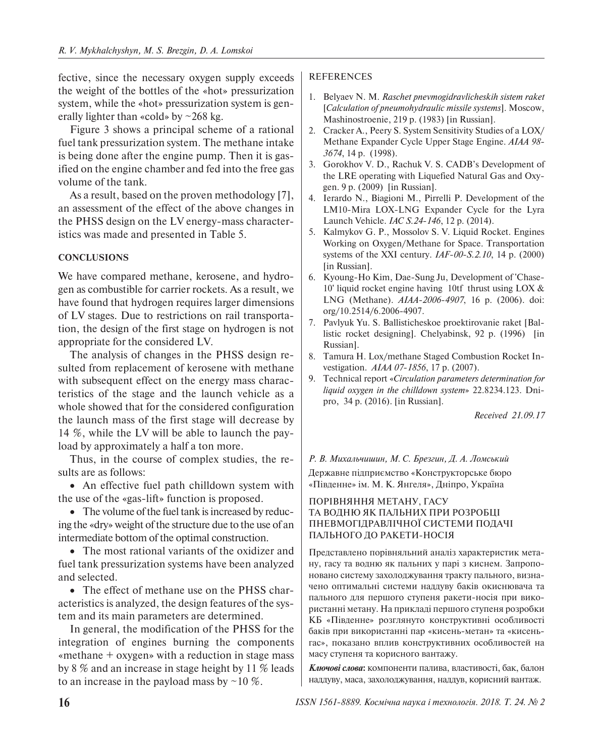fective, since the necessary oxygen supply exceeds the weight of the bottles of the «hot» pressurization system, while the «hot» pressurization system is generally lighter than «cold» by  $\sim$ 268 kg.

Figure 3 shows a principal scheme of a rational fuel tank pressurization system. The methane intake is being done after the engine pump. Then it is gasified on the engine chamber and fed into the free gas volume of the tank.

As a result, based on the proven methodology [7], an assessment of the effect of the above changes in the PHSS design on the LV energy-mass characteristics was made and presented in Table 5.

## **CONCLUSIONS**

We have compared methane, kerosene, and hydrogen as combustible for carrier rockets. As a result, we have found that hydrogen requires larger dimensions of LV stages. Due to restrictions on rail transportation, the design of the first stage on hydrogen is not appropriate for the considered LV.

The analysis of changes in the PHSS design resulted from replacement of kerosene with methane with subsequent effect on the energy mass characteristics of the stage and the launch vehicle as a whole showed that for the considered configuration the launch mass of the first stage will decrease by 14 %, while the LV will be able to launch the payload by approximately a half a ton more.

Thus, in the course of complex studies, the results are as follows:

• An effective fuel path chilldown system with the use of the «gas-lift» function is proposed.

• The volume of the fuel tank is increased by reducing the «dry» weight of the structure due to the use of an intermediate bottom of the optimal construction.

• The most rational variants of the oxidizer and fuel tank pressurization systems have been analyzed and selected.

• The effect of methane use on the PHSS characteristics is analyzed, the design features of the system and its main parameters are determined.

In general, the modification of the PHSS for the integration of engines burning the components «methane + oxygen» with a reduction in stage mass by 8 % and an increase in stage height by 11 % leads to an increase in the payload mass by  $\sim$  10 %.

## REFERENCES

- 1. Belyaev N. M. *Raschet pnevmogidravlicheskih sistem raket*  [*Calculation of pneumohydraulic missile systems*]. Moscow, Mashinostroenie, 219 p. (1983) [in Russian].
- 2. Cracker A., Peery S. System Sensitivity Studies of a LOX/ Methane Expander Cycle Upper Stage Engine. *AIAA 98- 3674*, 14 p. (1998).
- 3. Gorokhov V. D., Rachuk V. S. CADB's Development of the LRE operating with Liquefied Natural Gas and Oxygen. 9 p. (2009) [in Russian].
- 4. Ierardo N., Biagioni M., Pirrelli P. Development of the LM10-Mira LOX-LNG Expander Cycle for the Lyra Launch Vehicle. *IAC S.24-146*, 12 p. (2014).
- 5. Kalmykov G. P., Mossolov S. V. Liquid Rocket. Engines Working on Oxygen/Methane for Space. Transportation systems of the XXI century. *IAF-00-S.2.10*, 14 p. (2000) [in Russian].
- 6. Kyoung-Ho Kim, Dae-Sung Ju, Development of 'Chase-10' liquid rocket engine having 10tf thrust using LOX & LNG (Methane). *AIAA-2006-4907*, 16 p. (2006). doi: org/10.2514/6.2006-4907.
- 7. Pavlyuk Yu. S. Ballisticheskoe proektirovanie raket [Ballistic rocket designing]. Chelyabinsk, 92 p. (1996) [in Russian].
- 8. Tamura H. Lox/methane Staged Combustion Rocket Investigation. *AIAA 07-1856*, 17 p. (2007).
- 9. Technical report «*Circulation parameters determination for liquid oxygen in the chilldown system*» 22.8234.123. Dnipro, 34 p. (2016). [in Russian].

*Received 21.09.17*

# *Р. В. Михальчишин, М. С. Брезгин, Д. А. Ломський* Державне підприємство «Конструкторське бюро «Південне» ім. М. К. Янгеля», Дніпро, Україна

## ПОРІВНЯННЯ МЕТАНУ, ГАСУ ТА ВОДНЮ ЯК ПАЛЬНИХ ПРИ РОЗРОБЦІ ПНЕВМОГІДРАВЛІЧНОЇ СИСТЕМИ ПОДАЧІ ПАЛЬНОГО ДО РАКЕТИ-НОСІЯ

Представлено порівняльний аналіз характеристик метану, гасу та водню як пальних у парі з киснем. Запропоновано систему захолоджування тракту пального, визначено оптимальні системи наддуву баків окиснювача та пального для першого ступеня ракети-носія при використанні метану. На прикладі першого ступеня розробки КБ «Південне» розглянуто конструктивні особливості баків при використанні пар «кисень-метан» та «кисеньгас», показано вплив конструктивних особливостей на масу ступеня та корисного вантажу.

*Ключові слова***:** компоненти палива, властивості, бак, балон наддуву, маса, захолоджування, наддув, корисний вантаж.